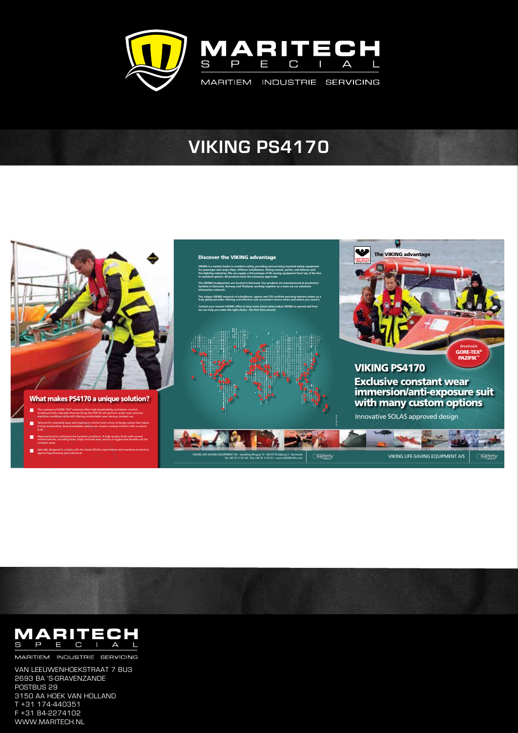

## **VIKING PS4170**





MARITIEM INDUSTRIE SERVICING

Van Leeuwenhoekstraat 7 BU3 2693 BA 's-Gravenzande POSTBUS 29 3150 AA hoek van Holland T +31 174-440351 F +31 84-2274102 www.maritech.nl